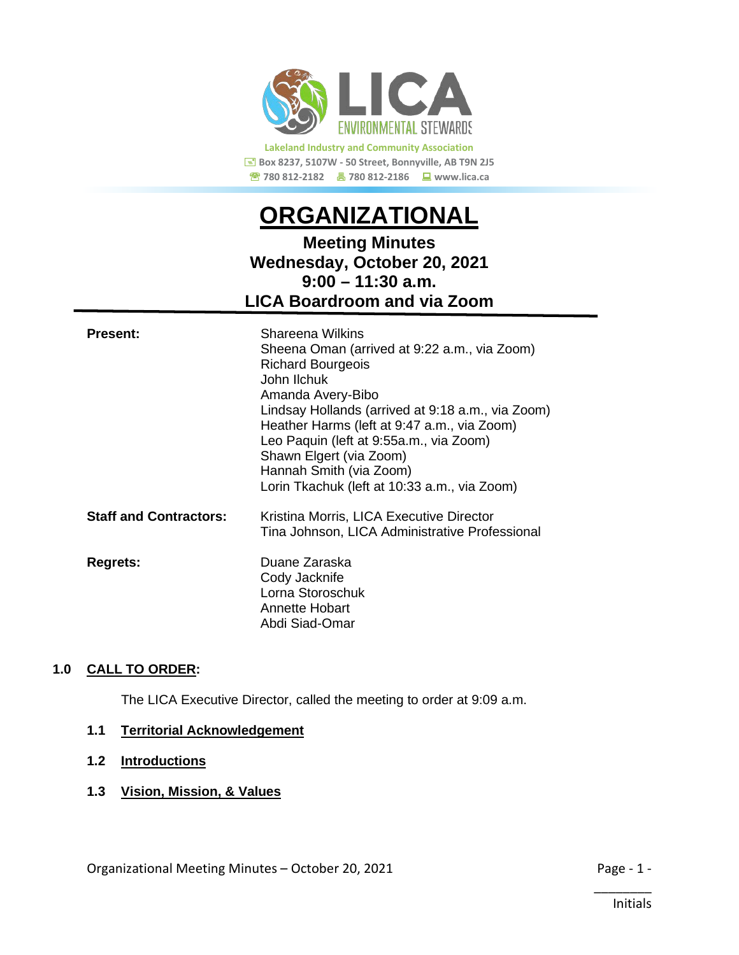

**Lakeland Industry and Community Association Box 8237, 5107W - 50 Street, Bonnyville, AB T9N 2J5 780 812-2182 780 812-2186 www.lica.ca** 

# *<sup>U</sup>***ORGANIZATIONAL**

# **Meeting Minutes Wednesday, October 20, 2021 9:00 – 11:30 a.m. LICA Boardroom and via Zoom**

| <b>Present:</b>               | Shareena Wilkins<br>Sheena Oman (arrived at 9:22 a.m., via Zoom)<br><b>Richard Bourgeois</b><br>John Ilchuk<br>Amanda Avery-Bibo<br>Lindsay Hollands (arrived at 9:18 a.m., via Zoom)<br>Heather Harms (left at 9:47 a.m., via Zoom)<br>Leo Paquin (left at 9:55a.m., via Zoom)<br>Shawn Elgert (via Zoom)<br>Hannah Smith (via Zoom)<br>Lorin Tkachuk (left at 10:33 a.m., via Zoom) |
|-------------------------------|---------------------------------------------------------------------------------------------------------------------------------------------------------------------------------------------------------------------------------------------------------------------------------------------------------------------------------------------------------------------------------------|
| <b>Staff and Contractors:</b> | Kristina Morris, LICA Executive Director<br>Tina Johnson, LICA Administrative Professional                                                                                                                                                                                                                                                                                            |
| <b>Regrets:</b>               | Duane Zaraska<br>Cody Jacknife<br>Lorna Storoschuk<br>Annette Hobart<br>Abdi Siad-Omar                                                                                                                                                                                                                                                                                                |

#### 1.0 CALL TO ORDER:

The LICA Executive Director, called the meeting to order at 9:09 a.m.

#### **1.1 Territorial Acknowledgement**

#### **1.2 Introductions**

**1.3 Vision, Mission, & Values**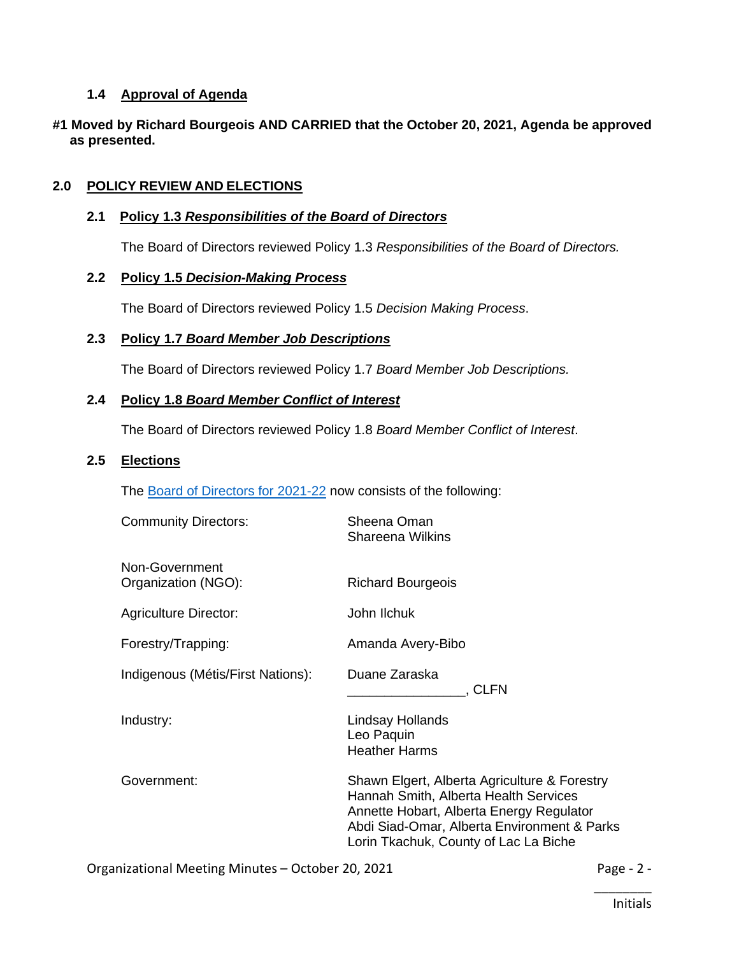#### **1.4 Approval of Agenda**

#### **#1 Moved by Richard Bourgeois AND CARRIED that the October 20, 2021, Agenda be approved as presented.**

#### **2.0** *<sup>U</sup>***POLICY REVIEW AND ELECTIONS**

#### **2.1** *U***Policy 1.3** *Responsibilities of the Board of Directors*

The Board of Directors reviewed Policy 1.3 *Responsibilities of the Board of Directors.*

#### **2.2 Policy 1.5** *Decision-Making Process*

The Board of Directors reviewed Policy 1.5 *Decision Making Process*.

#### **2.3** *<sup>U</sup>***Policy 1.7** *Board Member Job Descriptions*

The Board of Directors reviewed Policy 1.7 *Board Member Job Descriptions.*

#### **2.4** *<sup>U</sup>***Policy 1.8** *Board Member Conflict of Interest*

The Board of Directors reviewed Policy 1.8 *Board Member Conflict of Interest*.

#### 2.5 **Elections**

The [Board of Directors for 2021-22](https://lica2.sharepoint.com/:b:/s/Office/ERGh24qKjZVNpk-zhNXXBNUBf4w3iqXpAhDxinzQQv3qkA?e=HQWSHJ) now consists of the following:

| <b>Community Directors:</b>           | Sheena Oman<br><b>Shareena Wilkins</b>                                                                                                                                                                                    |
|---------------------------------------|---------------------------------------------------------------------------------------------------------------------------------------------------------------------------------------------------------------------------|
| Non-Government<br>Organization (NGO): | <b>Richard Bourgeois</b>                                                                                                                                                                                                  |
| <b>Agriculture Director:</b>          | John Ilchuk                                                                                                                                                                                                               |
| Forestry/Trapping:                    | Amanda Avery-Bibo                                                                                                                                                                                                         |
| Indigenous (Métis/First Nations):     | Duane Zaraska<br>. CLFN                                                                                                                                                                                                   |
| Industry:                             | Lindsay Hollands<br>Leo Paquin<br><b>Heather Harms</b>                                                                                                                                                                    |
| Government:                           | Shawn Elgert, Alberta Agriculture & Forestry<br>Hannah Smith, Alberta Health Services<br>Annette Hobart, Alberta Energy Regulator<br>Abdi Siad-Omar, Alberta Environment & Parks<br>Lorin Tkachuk, County of Lac La Biche |

Organizational Meeting Minutes – October 20, 2021 Page - 2 -

\_\_\_\_\_\_\_\_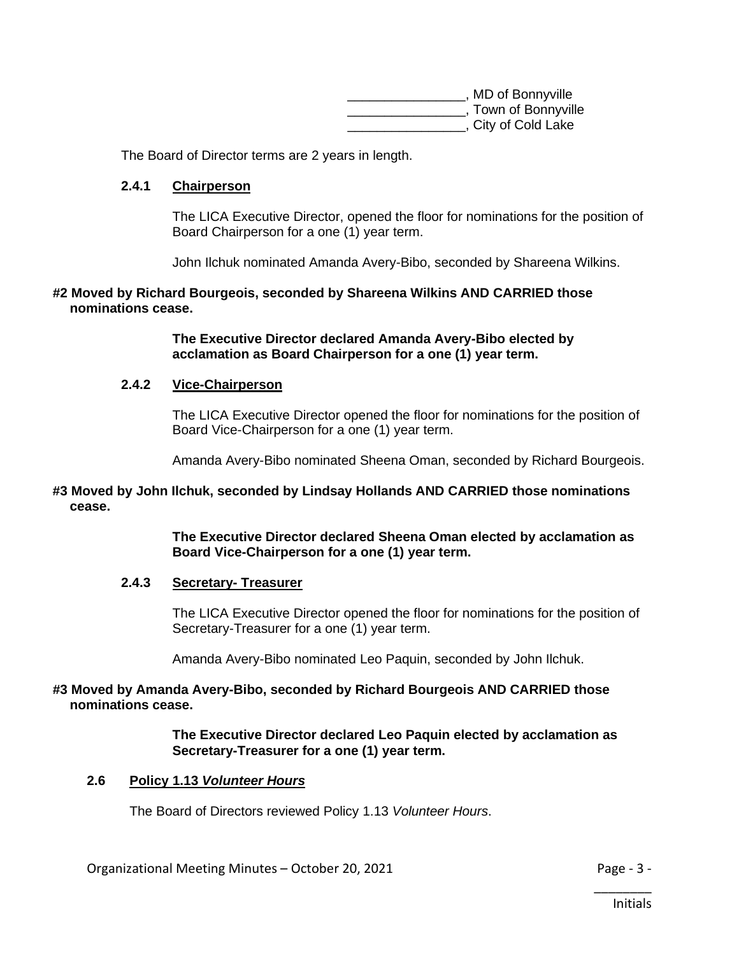| , MD of Bonnyville   |
|----------------------|
| , Town of Bonnyville |
| , City of Cold Lake  |

The Board of Director terms are 2 years in length.

#### **2.4.1** *<sup>U</sup>***Chairperson**

The LICA Executive Director, opened the floor for nominations for the position of Board Chairperson for a one (1) year term.

John Ilchuk nominated Amanda Avery-Bibo, seconded by Shareena Wilkins.

#### **#2 Moved by Richard Bourgeois, seconded by Shareena Wilkins AND CARRIED those nominations cease.**

**The Executive Director declared Amanda Avery-Bibo elected by acclamation as Board Chairperson for a one (1) year term.**

#### **2.4.2** *<sup>U</sup>***Vice-Chairperson**

The LICA Executive Director opened the floor for nominations for the position of Board Vice-Chairperson for a one (1) year term.

Amanda Avery-Bibo nominated Sheena Oman, seconded by Richard Bourgeois.

#### **#3 Moved by John Ilchuk, seconded by Lindsay Hollands AND CARRIED those nominations cease.**

**The Executive Director declared Sheena Oman elected by acclamation as Board Vice-Chairperson for a one (1) year term.**

#### **2.4.3 Secretary- Treasurer**

The LICA Executive Director opened the floor for nominations for the position of Secretary-Treasurer for a one (1) year term.

Amanda Avery-Bibo nominated Leo Paquin, seconded by John Ilchuk.

#### **#3 Moved by Amanda Avery-Bibo, seconded by Richard Bourgeois AND CARRIED those nominations cease.**

**The Executive Director declared Leo Paquin elected by acclamation as Secretary-Treasurer for a one (1) year term.**

#### **2.6 Policy 1.13** *Volunteer Hours*

The Board of Directors reviewed Policy 1.13 *Volunteer Hours*.

Organizational Meeting Minutes – October 20, 2021 **Page - 3 -** Page - 3 -

\_\_\_\_\_\_\_\_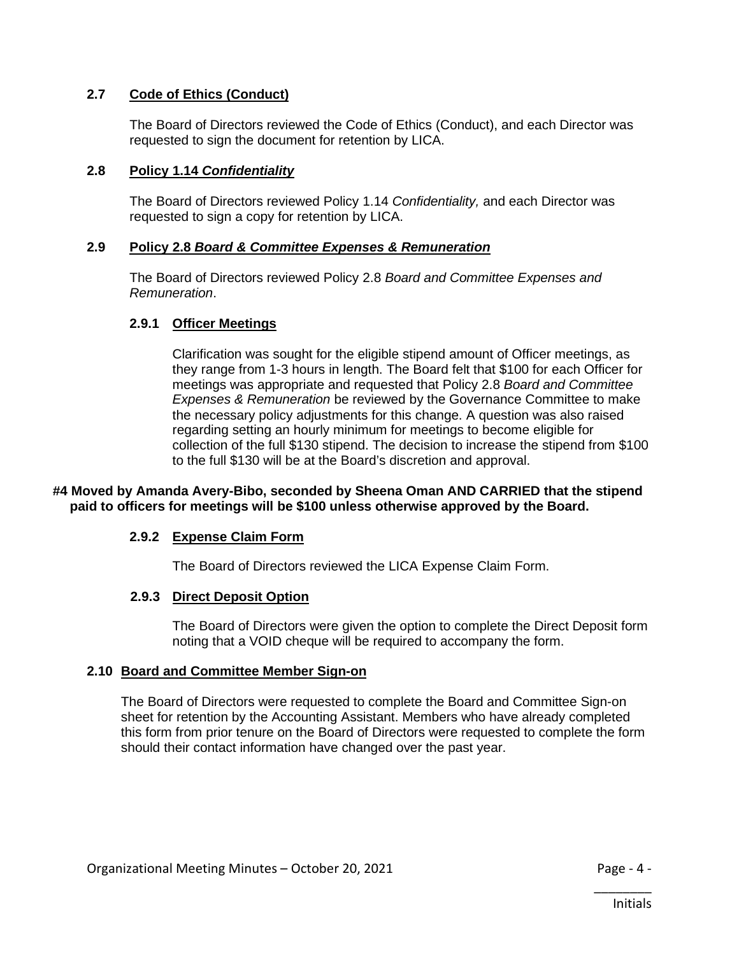#### **2.7 Code of Ethics (Conduct)**

The Board of Directors reviewed the Code of Ethics (Conduct), and each Director was requested to sign the document for retention by LICA.

#### **2.8 Policy 1.14** *Confidentiality*

The Board of Directors reviewed Policy 1.14 *Confidentiality,* and each Director was requested to sign a copy for retention by LICA.

#### **2.9 Policy 2.8** *Board & Committee Expenses & Remuneration*

The Board of Directors reviewed Policy 2.8 *Board and Committee Expenses and Remuneration*.

#### **2.9.1 Officer Meetings**

Clarification was sought for the eligible stipend amount of Officer meetings, as they range from 1-3 hours in length. The Board felt that \$100 for each Officer for meetings was appropriate and requested that Policy 2.8 *Board and Committee Expenses & Remuneration* be reviewed by the Governance Committee to make the necessary policy adjustments for this change. A question was also raised regarding setting an hourly minimum for meetings to become eligible for collection of the full \$130 stipend. The decision to increase the stipend from \$100 to the full \$130 will be at the Board's discretion and approval.

#### **#4 Moved by Amanda Avery-Bibo, seconded by Sheena Oman AND CARRIED that the stipend paid to officers for meetings will be \$100 unless otherwise approved by the Board.**

#### **2.9.2 Expense Claim Form**

The Board of Directors reviewed the LICA Expense Claim Form.

#### **2.9.3** *<sup>U</sup>***Direct Deposit Option**

The Board of Directors were given the option to complete the Direct Deposit form noting that a VOID cheque will be required to accompany the form.

#### **2.10 Board and Committee Member Sign-on**

The Board of Directors were requested to complete the Board and Committee Sign-on sheet for retention by the Accounting Assistant. Members who have already completed this form from prior tenure on the Board of Directors were requested to complete the form should their contact information have changed over the past year.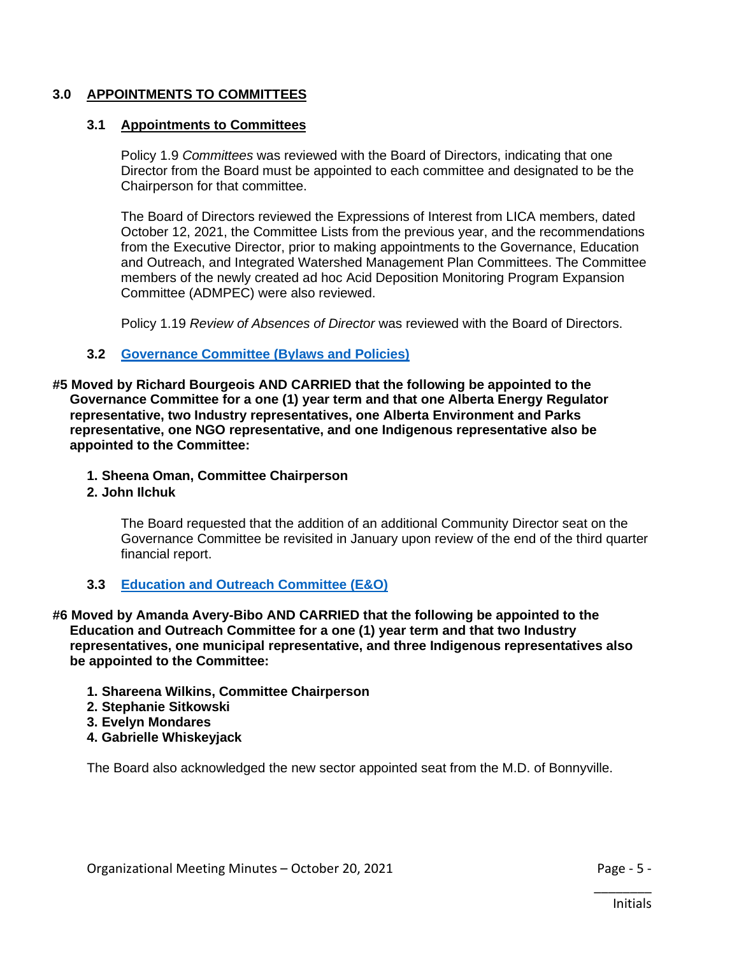#### **3.0 APPOINTMENTS TO COMMITTEES**

#### **3.1 A***A***ppointments to Committees**

Policy 1.9 *Committees* was reviewed with the Board of Directors, indicating that one Director from the Board must be appointed to each committee and designated to be the Chairperson for that committee.

The Board of Directors reviewed the Expressions of Interest from LICA members, dated October 12, 2021, the Committee Lists from the previous year, and the recommendations from the Executive Director, prior to making appointments to the Governance, Education and Outreach, and Integrated Watershed Management Plan Committees. The Committee members of the newly created ad hoc Acid Deposition Monitoring Program Expansion Committee (ADMPEC) were also reviewed.

Policy 1.19 *Review of Absences of Director* was reviewed with the Board of Directors.

#### **3.2** *<sup>U</sup>***[Governance Committee \(Bylaws and Policies\)](https://lica2.sharepoint.com/:b:/s/Office/ERp5UVFc7fhEl4uwpbO52PIBFdK87NeSSPfneTFyAoBSGw?e=LdCBnP)**

**#5 Moved by Richard Bourgeois AND CARRIED that the following be appointed to the Governance Committee for a one (1) year term and that one Alberta Energy Regulator representative, two Industry representatives, one Alberta Environment and Parks representative, one NGO representative, and one Indigenous representative also be appointed to the Committee:** 

- **1. Sheena Oman, Committee Chairperson**
- **2. John Ilchuk**

The Board requested that the addition of an additional Community Director seat on the Governance Committee be revisited in January upon review of the end of the third quarter financial report.

**3.3** *<sup>U</sup>***[Education and Outreach Committee \(E&O\)](https://lica2.sharepoint.com/:b:/s/Office/EQhFFoPKMRpFicTsUbGrb0wBuol305wRoWWsvdCX1hhRmQ?e=IPjDlg)**

**#6 Moved by Amanda Avery-Bibo AND CARRIED that the following be appointed to the Education and Outreach Committee for a one (1) year term and that two Industry representatives, one municipal representative, and three Indigenous representatives also be appointed to the Committee:** 

- **1. Shareena Wilkins, Committee Chairperson**
- **2. Stephanie Sitkowski**
- **3. Evelyn Mondares**
- **4. Gabrielle Whiskeyjack**

The Board also acknowledged the new sector appointed seat from the M.D. of Bonnyville.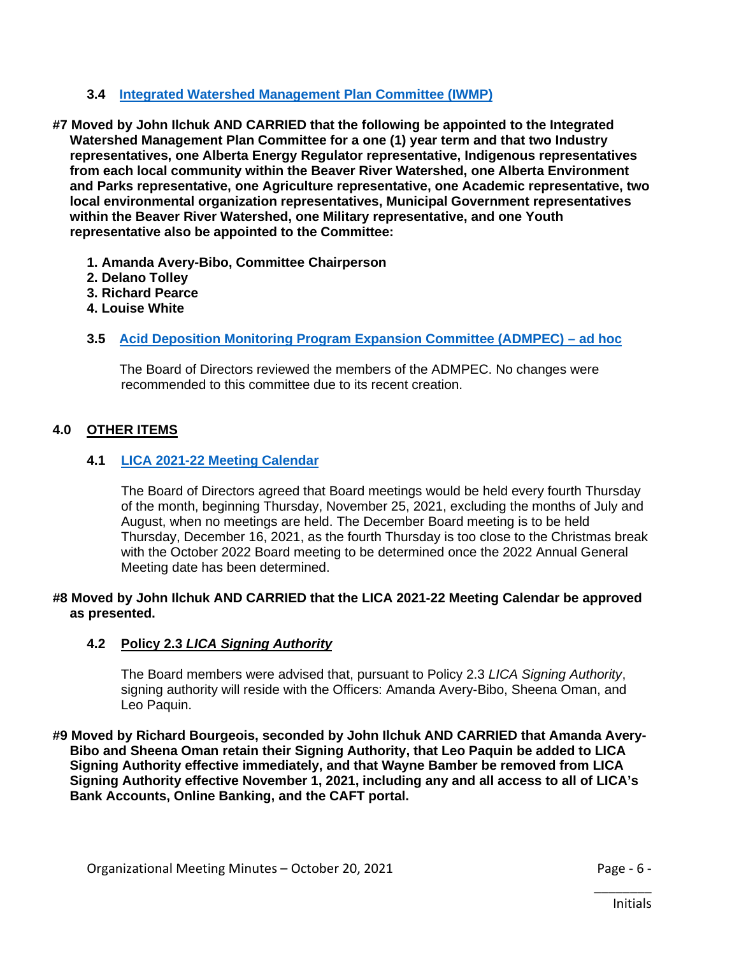#### **3.4 [Integrated Watershed Management Plan Committee \(IWMP\)](https://lica2.sharepoint.com/:b:/s/Office/EZ4aeX4Ek41DvhU3o1aoF1QB_UANszWyWbfbDODyf-qEsA?e=wX9JcV)**

- **#7 Moved by John Ilchuk AND CARRIED that the following be appointed to the Integrated Watershed Management Plan Committee for a one (1) year term and that two Industry representatives, one Alberta Energy Regulator representative, Indigenous representatives from each local community within the Beaver River Watershed, one Alberta Environment and Parks representative, one Agriculture representative, one Academic representative, two local environmental organization representatives, Municipal Government representatives within the Beaver River Watershed, one Military representative, and one Youth representative also be appointed to the Committee:** 
	- **1. Amanda Avery-Bibo, Committee Chairperson**
	- **2. Delano Tolley**
	- **3. Richard Pearce**
	- **4. Louise White**

#### **3.5 [Acid Deposition Monitoring Program Expansion Committee \(ADMPEC\) –](https://lica2.sharepoint.com/:b:/s/Office/EbB2LbV0EyBCr0i5AAdNH68Bt2Zw2VDWT9jSZ4gNcQs8oA?e=FaHoMI) ad hoc**

The Board of Directors reviewed the members of the ADMPEC. No changes were recommended to this committee due to its recent creation.

#### **4.0** *<sup>U</sup>***OTHER ITEMS**

#### **4.1** *<sup>U</sup>***[LICA 2021-22 Meeting Calendar](https://lica2.sharepoint.com/:b:/s/Office/EWb_3S9FV_lLhkp7wrJOVXQBQGWNaxxPAwA6OvpqHPufTQ?e=g46hIb)**

The Board of Directors agreed that Board meetings would be held every fourth Thursday of the month, beginning Thursday, November 25, 2021, excluding the months of July and August, when no meetings are held. The December Board meeting is to be held Thursday, December 16, 2021, as the fourth Thursday is too close to the Christmas break with the October 2022 Board meeting to be determined once the 2022 Annual General Meeting date has been determined.

#### **#8 Moved by John Ilchuk AND CARRIED that the LICA 2021-22 Meeting Calendar be approved as presented.**

#### **4.2 Policy 2.3** *LICA Signing Authority*

The Board members were advised that, pursuant to Policy 2.3 *LICA Signing Authority*, signing authority will reside with the Officers: Amanda Avery-Bibo, Sheena Oman, and Leo Paquin.

**#9 Moved by Richard Bourgeois, seconded by John Ilchuk AND CARRIED that Amanda Avery-Bibo and Sheena Oman retain their Signing Authority, that Leo Paquin be added to LICA Signing Authority effective immediately, and that Wayne Bamber be removed from LICA Signing Authority effective November 1, 2021, including any and all access to all of LICA's Bank Accounts, Online Banking, and the CAFT portal.**